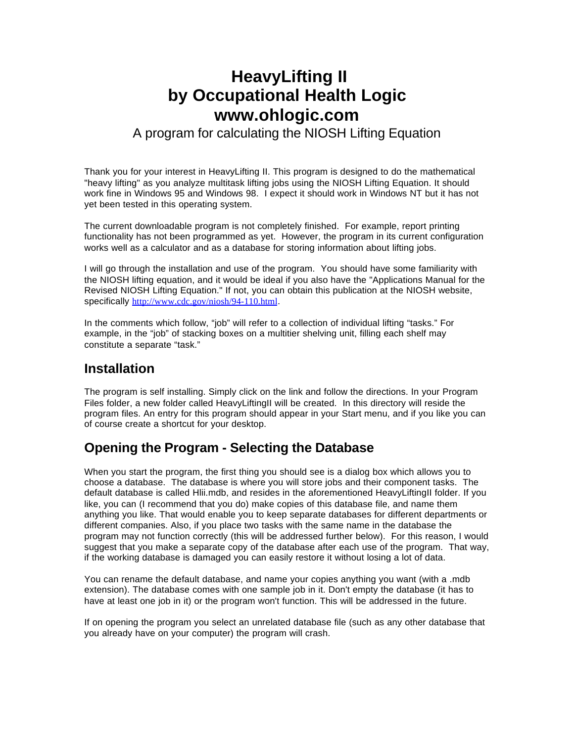# **HeavyLifting II by Occupational Health Logic www.ohlogic.com**

### A program for calculating the NIOSH Lifting Equation

Thank you for your interest in HeavyLifting II. This program is designed to do the mathematical "heavy lifting" as you analyze multitask lifting jobs using the NIOSH Lifting Equation. It should work fine in Windows 95 and Windows 98. I expect it should work in Windows NT but it has not yet been tested in this operating system.

The current downloadable program is not completely finished. For example, report printing functionality has not been programmed as yet. However, the program in its current configuration works well as a calculator and as a database for storing information about lifting jobs.

I will go through the installation and use of the program. You should have some familiarity with the NIOSH lifting equation, and it would be ideal if you also have the "Applications Manual for the Revised NIOSH Lifting Equation." If not, you can obtain this publication at the NIOSH website, specifically http://www.cdc.gov/niosh/94-110.html.

In the comments which follow, "job" will refer to a collection of individual lifting "tasks." For example, in the "job" of stacking boxes on a multitier shelving unit, filling each shelf may constitute a separate "task."

## **Installation**

The program is self installing. Simply click on the link and follow the directions. In your Program Files folder, a new folder called HeavyLiftingII will be created. In this directory will reside the program files. An entry for this program should appear in your Start menu, and if you like you can of course create a shortcut for your desktop.

# **Opening the Program - Selecting the Database**

When you start the program, the first thing you should see is a dialog box which allows you to choose a database. The database is where you will store jobs and their component tasks. The default database is called Hlii.mdb, and resides in the aforementioned HeavyLiftingII folder. If you like, you can (I recommend that you do) make copies of this database file, and name them anything you like. That would enable you to keep separate databases for different departments or different companies. Also, if you place two tasks with the same name in the database the program may not function correctly (this will be addressed further below). For this reason, I would suggest that you make a separate copy of the database after each use of the program. That way, if the working database is damaged you can easily restore it without losing a lot of data.

You can rename the default database, and name your copies anything you want (with a .mdb extension). The database comes with one sample job in it. Don't empty the database (it has to have at least one job in it) or the program won't function. This will be addressed in the future.

If on opening the program you select an unrelated database file (such as any other database that you already have on your computer) the program will crash.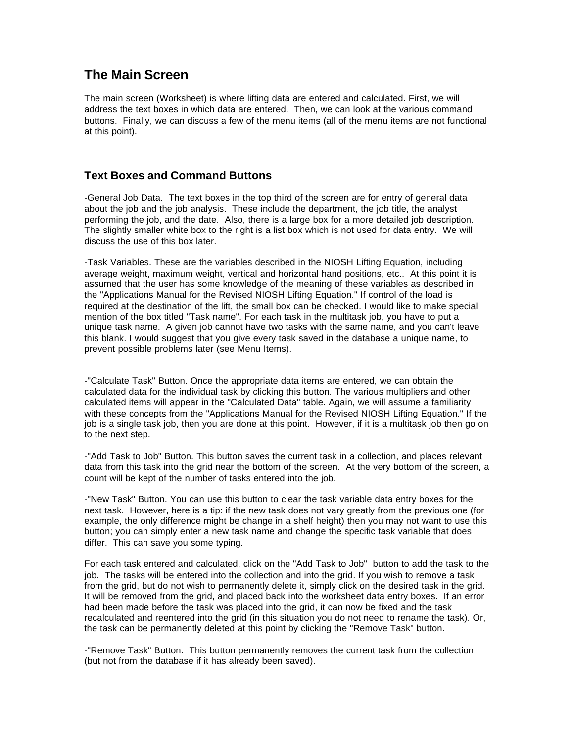# **The Main Screen**

The main screen (Worksheet) is where lifting data are entered and calculated. First, we will address the text boxes in which data are entered. Then, we can look at the various command buttons. Finally, we can discuss a few of the menu items (all of the menu items are not functional at this point).

### **Text Boxes and Command Buttons**

-General Job Data. The text boxes in the top third of the screen are for entry of general data about the job and the job analysis. These include the department, the job title, the analyst performing the job, and the date. Also, there is a large box for a more detailed job description. The slightly smaller white box to the right is a list box which is not used for data entry. We will discuss the use of this box later.

-Task Variables. These are the variables described in the NIOSH Lifting Equation, including average weight, maximum weight, vertical and horizontal hand positions, etc.. At this point it is assumed that the user has some knowledge of the meaning of these variables as described in the "Applications Manual for the Revised NIOSH Lifting Equation." If control of the load is required at the destination of the lift, the small box can be checked. I would like to make special mention of the box titled "Task name". For each task in the multitask job, you have to put a unique task name. A given job cannot have two tasks with the same name, and you can't leave this blank. I would suggest that you give every task saved in the database a unique name, to prevent possible problems later (see Menu Items).

-"Calculate Task" Button. Once the appropriate data items are entered, we can obtain the calculated data for the individual task by clicking this button. The various multipliers and other calculated items will appear in the "Calculated Data" table. Again, we will assume a familiarity with these concepts from the "Applications Manual for the Revised NIOSH Lifting Equation." If the job is a single task job, then you are done at this point. However, if it is a multitask job then go on to the next step.

-"Add Task to Job" Button. This button saves the current task in a collection, and places relevant data from this task into the grid near the bottom of the screen. At the very bottom of the screen, a count will be kept of the number of tasks entered into the job.

-"New Task" Button. You can use this button to clear the task variable data entry boxes for the next task. However, here is a tip: if the new task does not vary greatly from the previous one (for example, the only difference might be change in a shelf height) then you may not want to use this button; you can simply enter a new task name and change the specific task variable that does differ. This can save you some typing.

For each task entered and calculated, click on the "Add Task to Job" button to add the task to the job. The tasks will be entered into the collection and into the grid. If you wish to remove a task from the grid, but do not wish to permanently delete it, simply click on the desired task in the grid. It will be removed from the grid, and placed back into the worksheet data entry boxes. If an error had been made before the task was placed into the grid, it can now be fixed and the task recalculated and reentered into the grid (in this situation you do not need to rename the task). Or, the task can be permanently deleted at this point by clicking the "Remove Task" button.

-"Remove Task" Button. This button permanently removes the current task from the collection (but not from the database if it has already been saved).